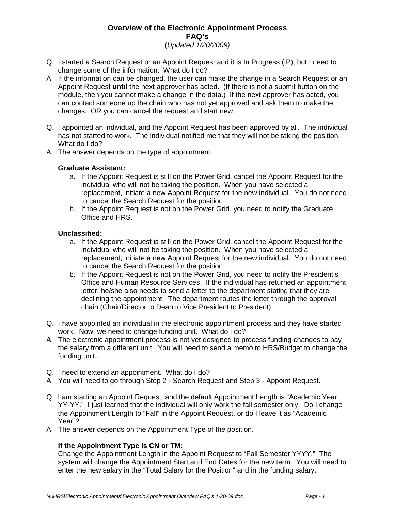# **Overview of the Electronic Appointment Process FAQ's**

(Updated 1/20/2009)

- Q. I started a Search Request or an Appoint Request and it is In Progress (IP), but I need to change some of the information. What do I do?
- A. If the information can be changed, the user can make the change in a Search Request or an Appoint Request **until** the next approver has acted. (If there is not a submit button on the module, then you cannot make a change in the data.) If the next approver has acted, you can contact someone up the chain who has not yet approved and ask them to make the changes. OR you can cancel the request and start new.
- Q. I appointed an individual, and the Appoint Request has been approved by all. The individual has not started to work. The individual notified me that they will not be taking the position. What do I do?
- A. The answer depends on the type of appointment.

## **Graduate Assistant:**

- a. If the Appoint Request is still on the Power Grid, cancel the Appoint Request for the individual who will not be taking the position. When you have selected a replacement, initiate a new Appoint Request for the new individual. You do not need to cancel the Search Request for the position.
- b. If the Appoint Request is not on the Power Grid, you need to notify the Graduate Office and HRS.

### **Unclassified:**

- a. If the Appoint Request is still on the Power Grid, cancel the Appoint Request for the individual who will not be taking the position. When you have selected a replacement, initiate a new Appoint Request for the new individual. You do not need to cancel the Search Request for the position.
- b. If the Appoint Request is not on the Power Grid, you need to notify the President's Office and Human Resource Services. If the individual has returned an appointment letter, he/she also needs to send a letter to the department stating that they are declining the appointment. The department routes the letter through the approval chain (Chair/Director to Dean to Vice President to President).
- Q. I have appointed an individual in the electronic appointment process and they have started work. Now, we need to change funding unit. What do I do?
- A. The electronic appointment process is not yet designed to process funding changes to pay the salary from a different unit. You will need to send a memo to HRS/Budget to change the funding unit..
- Q. I need to extend an appointment. What do I do?
- A. You will need to go through Step 2 Search Request and Step 3 Appoint Request.
- Q. I am starting an Appoint Request, and the default Appointment Length is "Academic Year YY-YY." I just learned that the individual will only work the fall semester only. Do I change the Appointment Length to "Fall" in the Appoint Request, or do I leave it as "Academic Year"?
- A. The answer depends on the Appointment Type of the position.

## **If the Appointment Type is CN or TM:**

 Change the Appointment Length in the Appoint Request to "Fall Semester YYYY." The system will change the Appointment Start and End Dates for the new term. You will need to enter the new salary in the "Total Salary for the Position" and in the funding salary.